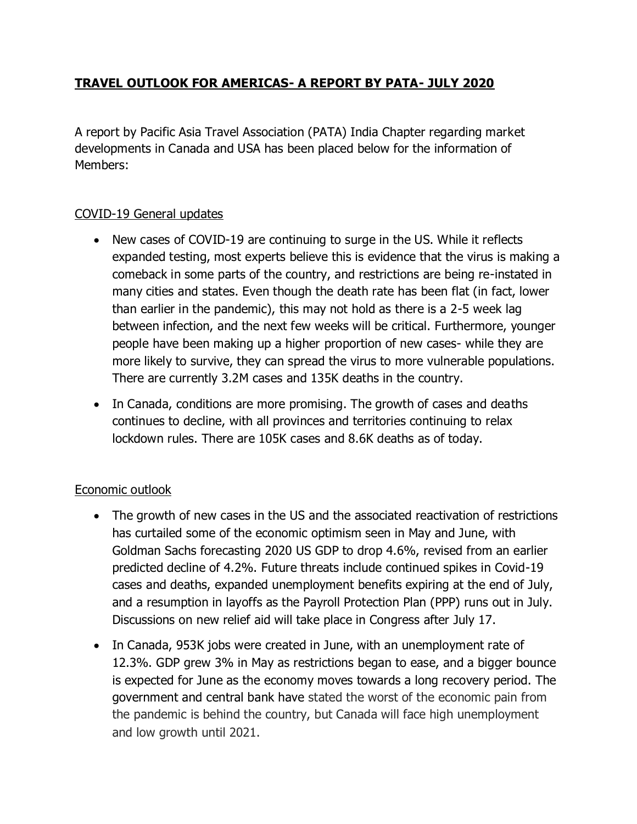## **TRAVEL OUTLOOK FOR AMERICAS- A REPORT BY PATA- JULY 2020**

A report by Pacific Asia Travel Association (PATA) India Chapter regarding market developments in Canada and USA has been placed below for the information of Members:

## COVID-19 General updates

- New cases of COVID-19 are continuing to surge in the US. While it reflects expanded testing, most experts believe this is evidence that the virus is making a comeback in some parts of the country, and restrictions are being re-instated in many cities and states. Even though the death rate has been flat (in fact, lower than earlier in the pandemic), this may not hold as there is a 2-5 week lag between infection, and the next few weeks will be critical. Furthermore, younger people have been making up a higher proportion of new cases- while they are more likely to survive, they can spread the virus to more vulnerable populations. There are currently 3.2M cases and 135K deaths in the country.
- In Canada, conditions are more promising. The growth of cases and deaths continues to decline, with all provinces and territories continuing to relax lockdown rules. There are 105K cases and 8.6K deaths as of today.

## Economic outlook

- The growth of new cases in the US and the associated reactivation of restrictions has curtailed some of the economic optimism seen in May and June, with Goldman Sachs forecasting 2020 US GDP to drop 4.6%, revised from an earlier predicted decline of 4.2%. Future threats include continued spikes in Covid-19 cases and deaths, expanded unemployment benefits expiring at the end of July, and a resumption in layoffs as the Payroll Protection Plan (PPP) runs out in July. Discussions on new relief aid will take place in Congress after July 17.
- In Canada, 953K jobs were created in June, with an unemployment rate of 12.3%. GDP grew 3% in May as restrictions began to ease, and a bigger bounce is expected for June as the economy moves towards a long recovery period. The government and central bank have stated the worst of the economic pain from the pandemic is behind the country, but Canada will face high unemployment and low growth until 2021.